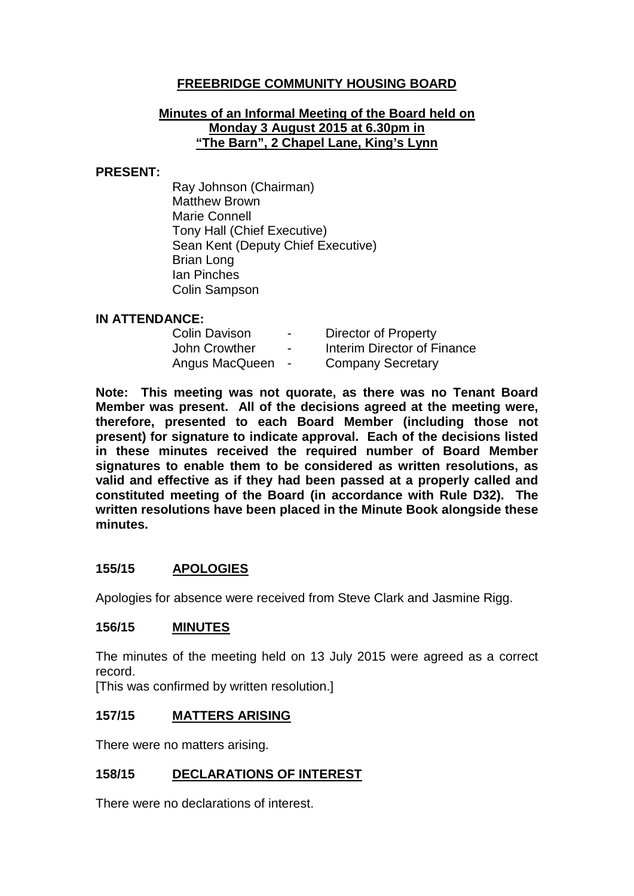## **FREEBRIDGE COMMUNITY HOUSING BOARD**

#### **Minutes of an Informal Meeting of the Board held on Monday 3 August 2015 at 6.30pm in "The Barn", 2 Chapel Lane, King's Lynn**

#### **PRESENT:**

Ray Johnson (Chairman) Matthew Brown Marie Connell Tony Hall (Chief Executive) Sean Kent (Deputy Chief Executive) Brian Long Ian Pinches Colin Sampson

#### **IN ATTENDANCE:**

| <b>Colin Davison</b> | $\blacksquare$           | Director of Property        |
|----------------------|--------------------------|-----------------------------|
| John Crowther        | $\overline{\phantom{0}}$ | Interim Director of Finance |
| Angus MacQueen       | $\sim$                   | <b>Company Secretary</b>    |

**Note: This meeting was not quorate, as there was no Tenant Board Member was present. All of the decisions agreed at the meeting were, therefore, presented to each Board Member (including those not present) for signature to indicate approval. Each of the decisions listed in these minutes received the required number of Board Member signatures to enable them to be considered as written resolutions, as valid and effective as if they had been passed at a properly called and constituted meeting of the Board (in accordance with Rule D32). The written resolutions have been placed in the Minute Book alongside these minutes.**

#### **155/15 APOLOGIES**

Apologies for absence were received from Steve Clark and Jasmine Rigg.

#### **156/15 MINUTES**

The minutes of the meeting held on 13 July 2015 were agreed as a correct record.

[This was confirmed by written resolution.]

#### **157/15 MATTERS ARISING**

There were no matters arising.

#### **158/15 DECLARATIONS OF INTEREST**

There were no declarations of interest.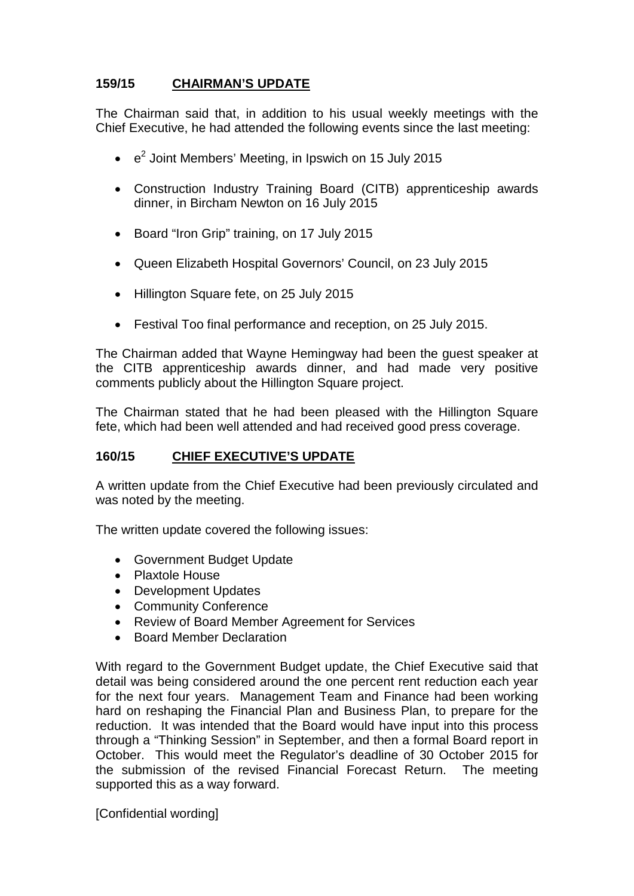## **159/15 CHAIRMAN'S UPDATE**

The Chairman said that, in addition to his usual weekly meetings with the Chief Executive, he had attended the following events since the last meeting:

- $\cdot$   $e^2$  Joint Members' Meeting, in Ipswich on 15 July 2015
- Construction Industry Training Board (CITB) apprenticeship awards dinner, in Bircham Newton on 16 July 2015
- Board "Iron Grip" training, on 17 July 2015
- Queen Elizabeth Hospital Governors' Council, on 23 July 2015
- Hillington Square fete, on 25 July 2015
- Festival Too final performance and reception, on 25 July 2015.

The Chairman added that Wayne Hemingway had been the guest speaker at the CITB apprenticeship awards dinner, and had made very positive comments publicly about the Hillington Square project.

The Chairman stated that he had been pleased with the Hillington Square fete, which had been well attended and had received good press coverage.

## **160/15 CHIEF EXECUTIVE'S UPDATE**

A written update from the Chief Executive had been previously circulated and was noted by the meeting.

The written update covered the following issues:

- Government Budget Update
- Plaxtole House
- Development Updates
- Community Conference
- Review of Board Member Agreement for Services
- Board Member Declaration

With regard to the Government Budget update, the Chief Executive said that detail was being considered around the one percent rent reduction each year for the next four years. Management Team and Finance had been working hard on reshaping the Financial Plan and Business Plan, to prepare for the reduction. It was intended that the Board would have input into this process through a "Thinking Session" in September, and then a formal Board report in October. This would meet the Regulator's deadline of 30 October 2015 for the submission of the revised Financial Forecast Return. The meeting supported this as a way forward.

[Confidential wording]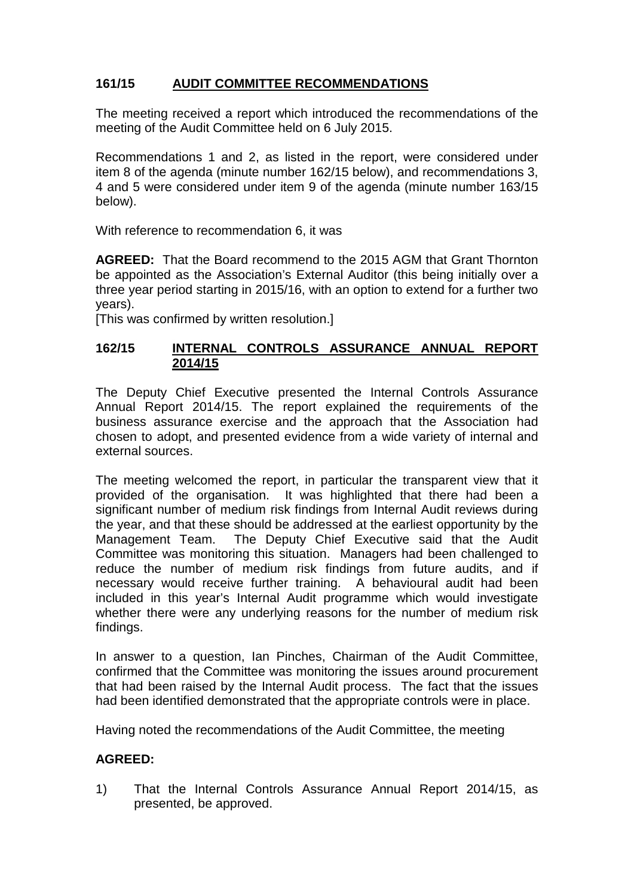# **161/15 AUDIT COMMITTEE RECOMMENDATIONS**

The meeting received a report which introduced the recommendations of the meeting of the Audit Committee held on 6 July 2015.

Recommendations 1 and 2, as listed in the report, were considered under item 8 of the agenda (minute number 162/15 below), and recommendations 3, 4 and 5 were considered under item 9 of the agenda (minute number 163/15 below).

With reference to recommendation 6, it was

**AGREED:** That the Board recommend to the 2015 AGM that Grant Thornton be appointed as the Association's External Auditor (this being initially over a three year period starting in 2015/16, with an option to extend for a further two years).

[This was confirmed by written resolution.]

### **162/15 INTERNAL CONTROLS ASSURANCE ANNUAL REPORT 2014/15**

The Deputy Chief Executive presented the Internal Controls Assurance Annual Report 2014/15. The report explained the requirements of the business assurance exercise and the approach that the Association had chosen to adopt, and presented evidence from a wide variety of internal and external sources.

The meeting welcomed the report, in particular the transparent view that it provided of the organisation. It was highlighted that there had been a significant number of medium risk findings from Internal Audit reviews during the year, and that these should be addressed at the earliest opportunity by the Management Team. The Deputy Chief Executive said that the Audit Committee was monitoring this situation. Managers had been challenged to reduce the number of medium risk findings from future audits, and if necessary would receive further training. A behavioural audit had been included in this year's Internal Audit programme which would investigate whether there were any underlying reasons for the number of medium risk findings.

In answer to a question, Ian Pinches, Chairman of the Audit Committee, confirmed that the Committee was monitoring the issues around procurement that had been raised by the Internal Audit process. The fact that the issues had been identified demonstrated that the appropriate controls were in place.

Having noted the recommendations of the Audit Committee, the meeting

## **AGREED:**

1) That the Internal Controls Assurance Annual Report 2014/15, as presented, be approved.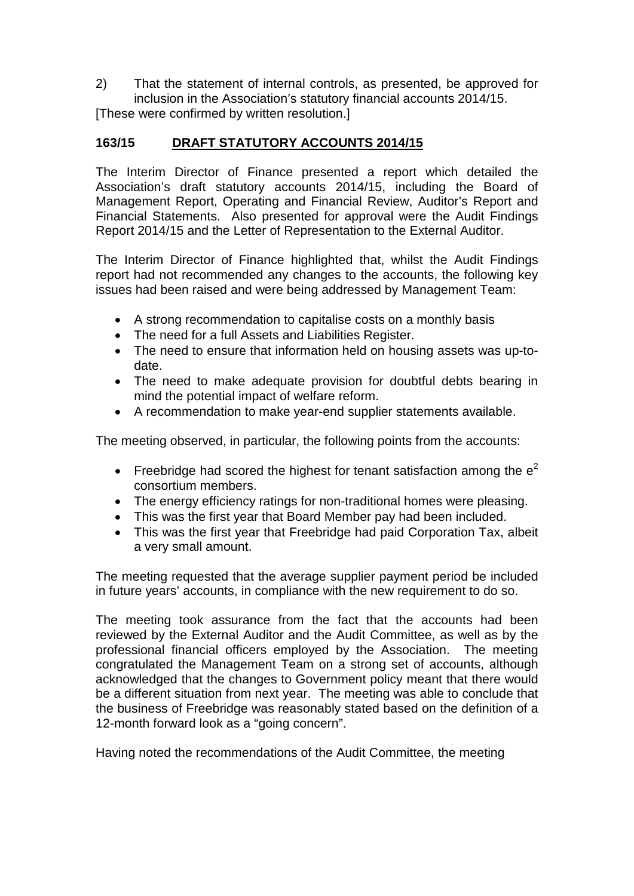2) That the statement of internal controls, as presented, be approved for inclusion in the Association's statutory financial accounts 2014/15. [These were confirmed by written resolution.]

## **163/15 DRAFT STATUTORY ACCOUNTS 2014/15**

The Interim Director of Finance presented a report which detailed the Association's draft statutory accounts 2014/15, including the Board of Management Report, Operating and Financial Review, Auditor's Report and Financial Statements. Also presented for approval were the Audit Findings Report 2014/15 and the Letter of Representation to the External Auditor.

The Interim Director of Finance highlighted that, whilst the Audit Findings report had not recommended any changes to the accounts, the following key issues had been raised and were being addressed by Management Team:

- A strong recommendation to capitalise costs on a monthly basis
- The need for a full Assets and Liabilities Register.
- The need to ensure that information held on housing assets was up-todate.
- The need to make adequate provision for doubtful debts bearing in mind the potential impact of welfare reform.
- A recommendation to make year-end supplier statements available.

The meeting observed, in particular, the following points from the accounts:

- Freebridge had scored the highest for tenant satisfaction among the  $e^2$ consortium members.
- The energy efficiency ratings for non-traditional homes were pleasing.
- This was the first year that Board Member pay had been included.
- This was the first year that Freebridge had paid Corporation Tax, albeit a very small amount.

The meeting requested that the average supplier payment period be included in future years' accounts, in compliance with the new requirement to do so.

The meeting took assurance from the fact that the accounts had been reviewed by the External Auditor and the Audit Committee, as well as by the professional financial officers employed by the Association. The meeting congratulated the Management Team on a strong set of accounts, although acknowledged that the changes to Government policy meant that there would be a different situation from next year. The meeting was able to conclude that the business of Freebridge was reasonably stated based on the definition of a 12-month forward look as a "going concern".

Having noted the recommendations of the Audit Committee, the meeting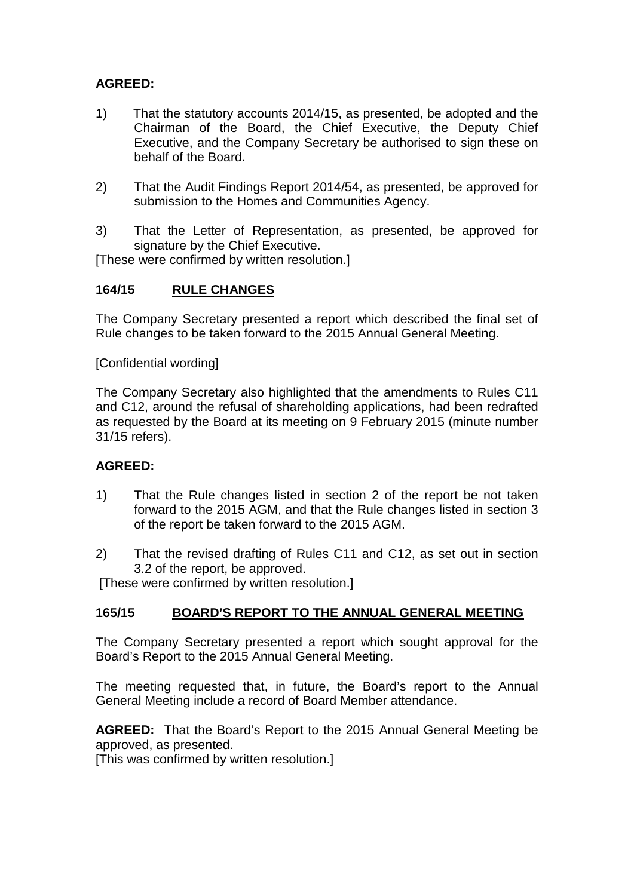### **AGREED:**

- 1) That the statutory accounts 2014/15, as presented, be adopted and the Chairman of the Board, the Chief Executive, the Deputy Chief Executive, and the Company Secretary be authorised to sign these on behalf of the Board.
- 2) That the Audit Findings Report 2014/54, as presented, be approved for submission to the Homes and Communities Agency.
- 3) That the Letter of Representation, as presented, be approved for signature by the Chief Executive.

[These were confirmed by written resolution.]

#### **164/15 RULE CHANGES**

The Company Secretary presented a report which described the final set of Rule changes to be taken forward to the 2015 Annual General Meeting.

[Confidential wording]

The Company Secretary also highlighted that the amendments to Rules C11 and C12, around the refusal of shareholding applications, had been redrafted as requested by the Board at its meeting on 9 February 2015 (minute number 31/15 refers).

#### **AGREED:**

- 1) That the Rule changes listed in section 2 of the report be not taken forward to the 2015 AGM, and that the Rule changes listed in section 3 of the report be taken forward to the 2015 AGM.
- 2) That the revised drafting of Rules C11 and C12, as set out in section 3.2 of the report, be approved.

[These were confirmed by written resolution.]

#### **165/15 BOARD'S REPORT TO THE ANNUAL GENERAL MEETING**

The Company Secretary presented a report which sought approval for the Board's Report to the 2015 Annual General Meeting.

The meeting requested that, in future, the Board's report to the Annual General Meeting include a record of Board Member attendance.

**AGREED:** That the Board's Report to the 2015 Annual General Meeting be approved, as presented.

[This was confirmed by written resolution.]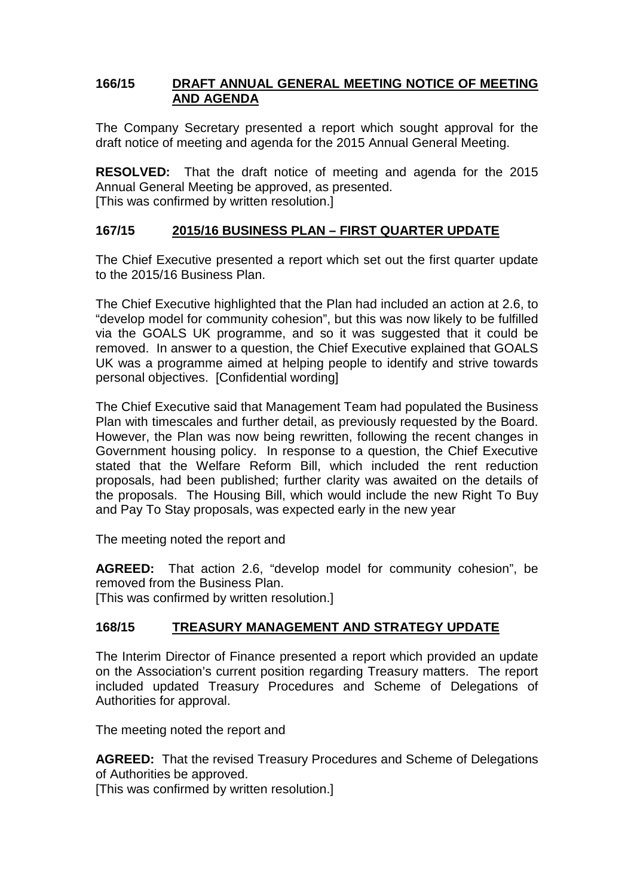### **166/15 DRAFT ANNUAL GENERAL MEETING NOTICE OF MEETING AND AGENDA**

The Company Secretary presented a report which sought approval for the draft notice of meeting and agenda for the 2015 Annual General Meeting.

**RESOLVED:** That the draft notice of meeting and agenda for the 2015 Annual General Meeting be approved, as presented. [This was confirmed by written resolution.]

### **167/15 2015/16 BUSINESS PLAN – FIRST QUARTER UPDATE**

The Chief Executive presented a report which set out the first quarter update to the 2015/16 Business Plan.

The Chief Executive highlighted that the Plan had included an action at 2.6, to "develop model for community cohesion", but this was now likely to be fulfilled via the GOALS UK programme, and so it was suggested that it could be removed. In answer to a question, the Chief Executive explained that GOALS UK was a programme aimed at helping people to identify and strive towards personal objectives. [Confidential wording]

The Chief Executive said that Management Team had populated the Business Plan with timescales and further detail, as previously requested by the Board. However, the Plan was now being rewritten, following the recent changes in Government housing policy. In response to a question, the Chief Executive stated that the Welfare Reform Bill, which included the rent reduction proposals, had been published; further clarity was awaited on the details of the proposals. The Housing Bill, which would include the new Right To Buy and Pay To Stay proposals, was expected early in the new year

The meeting noted the report and

**AGREED:** That action 2.6, "develop model for community cohesion", be removed from the Business Plan. [This was confirmed by written resolution.]

## **168/15 TREASURY MANAGEMENT AND STRATEGY UPDATE**

The Interim Director of Finance presented a report which provided an update on the Association's current position regarding Treasury matters. The report included updated Treasury Procedures and Scheme of Delegations of Authorities for approval.

The meeting noted the report and

**AGREED:** That the revised Treasury Procedures and Scheme of Delegations of Authorities be approved.

[This was confirmed by written resolution.]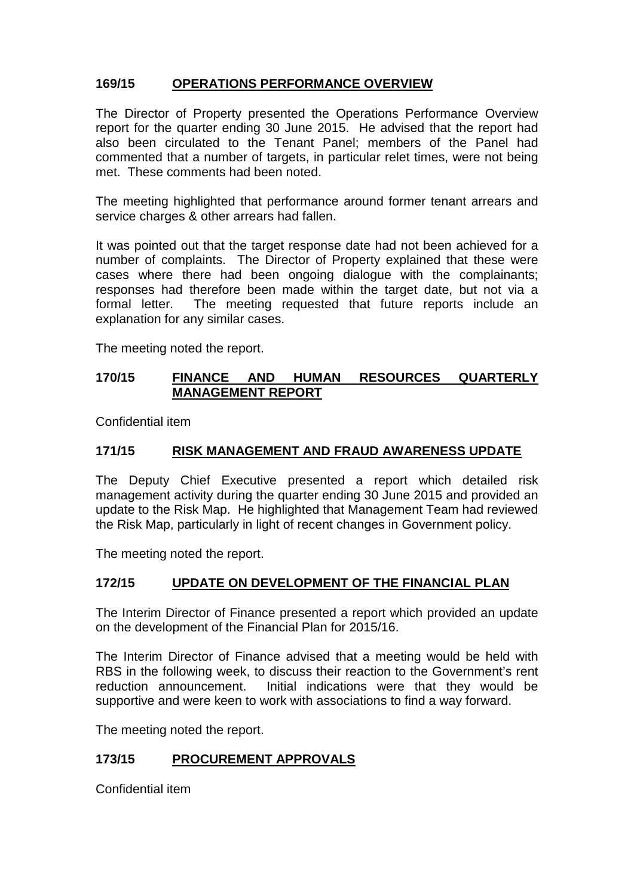# **169/15 OPERATIONS PERFORMANCE OVERVIEW**

The Director of Property presented the Operations Performance Overview report for the quarter ending 30 June 2015. He advised that the report had also been circulated to the Tenant Panel; members of the Panel had commented that a number of targets, in particular relet times, were not being met. These comments had been noted.

The meeting highlighted that performance around former tenant arrears and service charges & other arrears had fallen.

It was pointed out that the target response date had not been achieved for a number of complaints. The Director of Property explained that these were cases where there had been ongoing dialogue with the complainants; responses had therefore been made within the target date, but not via a formal letter. The meeting requested that future reports include an explanation for any similar cases.

The meeting noted the report.

### **170/15 FINANCE AND HUMAN RESOURCES QUARTERLY MANAGEMENT REPORT**

Confidential item

### **171/15 RISK MANAGEMENT AND FRAUD AWARENESS UPDATE**

The Deputy Chief Executive presented a report which detailed risk management activity during the quarter ending 30 June 2015 and provided an update to the Risk Map. He highlighted that Management Team had reviewed the Risk Map, particularly in light of recent changes in Government policy.

The meeting noted the report.

#### **172/15 UPDATE ON DEVELOPMENT OF THE FINANCIAL PLAN**

The Interim Director of Finance presented a report which provided an update on the development of the Financial Plan for 2015/16.

The Interim Director of Finance advised that a meeting would be held with RBS in the following week, to discuss their reaction to the Government's rent reduction announcement. Initial indications were that they would be supportive and were keen to work with associations to find a way forward.

The meeting noted the report.

## **173/15 PROCUREMENT APPROVALS**

Confidential item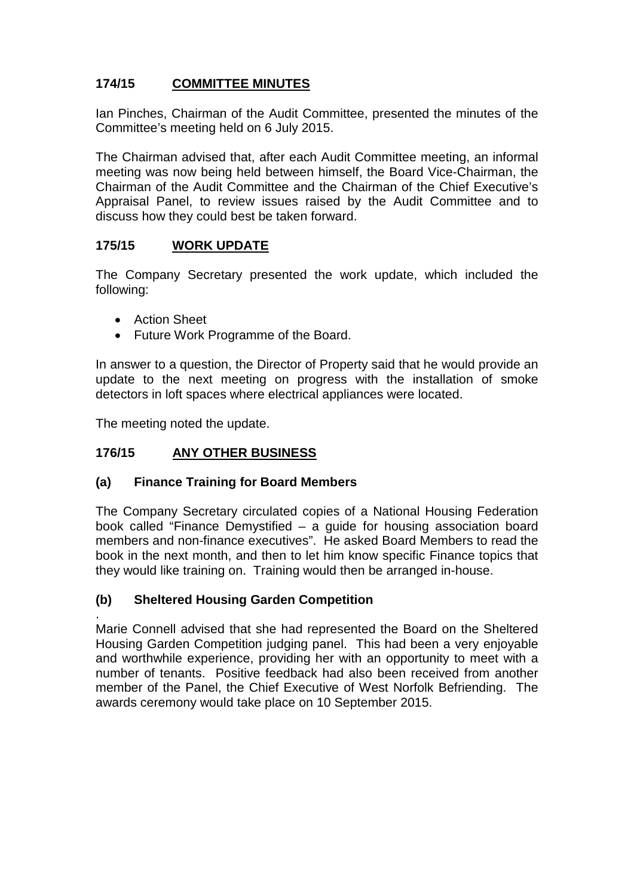# **174/15 COMMITTEE MINUTES**

Ian Pinches, Chairman of the Audit Committee, presented the minutes of the Committee's meeting held on 6 July 2015.

The Chairman advised that, after each Audit Committee meeting, an informal meeting was now being held between himself, the Board Vice-Chairman, the Chairman of the Audit Committee and the Chairman of the Chief Executive's Appraisal Panel, to review issues raised by the Audit Committee and to discuss how they could best be taken forward.

### **175/15 WORK UPDATE**

The Company Secretary presented the work update, which included the following:

- Action Sheet
- Future Work Programme of the Board.

In answer to a question, the Director of Property said that he would provide an update to the next meeting on progress with the installation of smoke detectors in loft spaces where electrical appliances were located.

The meeting noted the update.

## **176/15 ANY OTHER BUSINESS**

#### **(a) Finance Training for Board Members**

The Company Secretary circulated copies of a National Housing Federation book called "Finance Demystified – a guide for housing association board members and non-finance executives". He asked Board Members to read the book in the next month, and then to let him know specific Finance topics that they would like training on. Training would then be arranged in-house.

## **(b) Sheltered Housing Garden Competition**

. Marie Connell advised that she had represented the Board on the Sheltered Housing Garden Competition judging panel. This had been a very enjoyable and worthwhile experience, providing her with an opportunity to meet with a number of tenants. Positive feedback had also been received from another member of the Panel, the Chief Executive of West Norfolk Befriending. The awards ceremony would take place on 10 September 2015.